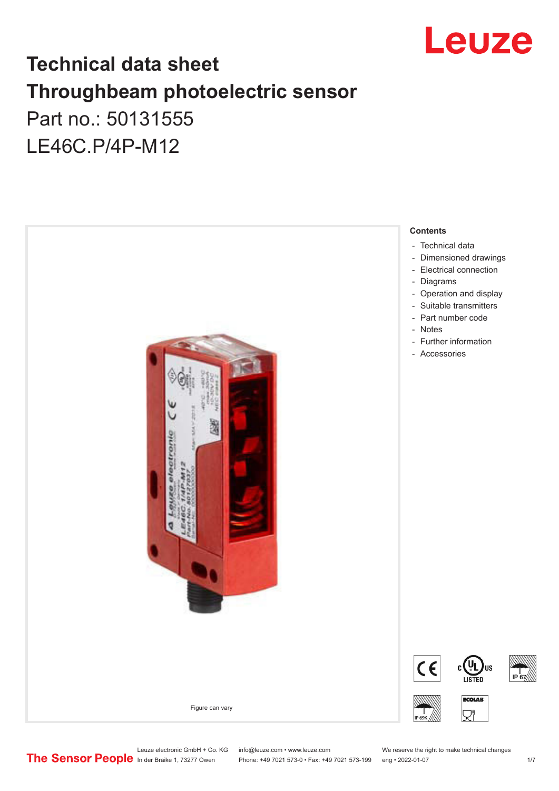

### **Technical data sheet Throughbeam photoelectric sensor**  Part no.: 50131555 LE46C.P/4P-M12



Leuze electronic GmbH + Co. KG info@leuze.com • www.leuze.com We reserve the right to make technical changes<br>
The Sensor People in der Braike 1, 73277 Owen Phone: +49 7021 573-0 • Fax: +49 7021 573-199 eng • 2022-01-07

Phone: +49 7021 573-0 • Fax: +49 7021 573-199 eng • 2022-01-07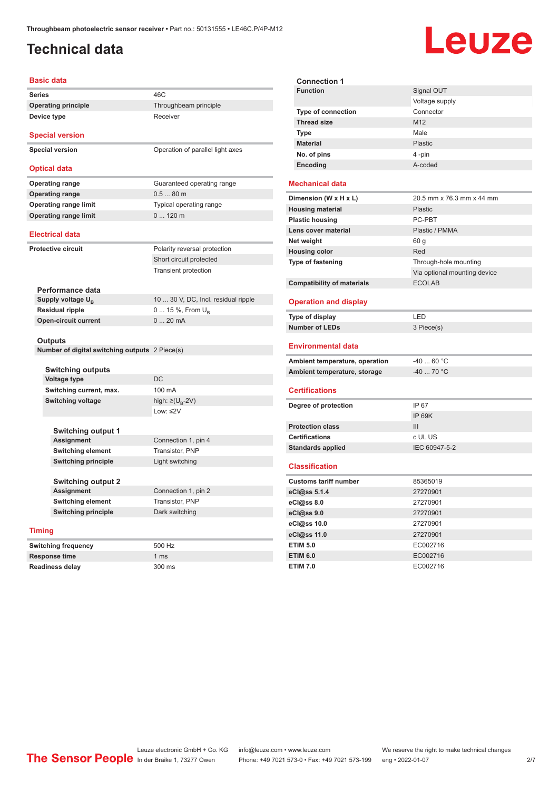#### <span id="page-1-0"></span>**Technical data**

## Leuze

|                                                                                                   | <b>Basic data</b>                              |                                               |  |  |
|---------------------------------------------------------------------------------------------------|------------------------------------------------|-----------------------------------------------|--|--|
| <b>Series</b>                                                                                     |                                                | 46C                                           |  |  |
|                                                                                                   | <b>Operating principle</b>                     | Throughbeam principle                         |  |  |
|                                                                                                   | Device type                                    | Receiver                                      |  |  |
|                                                                                                   |                                                |                                               |  |  |
|                                                                                                   | <b>Special version</b>                         |                                               |  |  |
|                                                                                                   | <b>Special version</b>                         | Operation of parallel light axes              |  |  |
|                                                                                                   | <b>Optical data</b>                            |                                               |  |  |
|                                                                                                   |                                                |                                               |  |  |
|                                                                                                   | <b>Operating range</b>                         | Guaranteed operating range                    |  |  |
|                                                                                                   | <b>Operating range</b>                         | $0.580$ m                                     |  |  |
|                                                                                                   | <b>Operating range limit</b>                   | Typical operating range                       |  |  |
|                                                                                                   | <b>Operating range limit</b>                   | 0120m                                         |  |  |
|                                                                                                   | <b>Electrical data</b>                         |                                               |  |  |
|                                                                                                   |                                                |                                               |  |  |
|                                                                                                   | <b>Protective circuit</b>                      | Polarity reversal protection                  |  |  |
|                                                                                                   |                                                | Short circuit protected                       |  |  |
|                                                                                                   |                                                | <b>Transient protection</b>                   |  |  |
|                                                                                                   | Performance data                               |                                               |  |  |
|                                                                                                   | Supply voltage U <sub>p</sub>                  | 10  30 V, DC, Incl. residual ripple           |  |  |
|                                                                                                   | <b>Residual ripple</b>                         | 0  15 %, From U <sub>n</sub>                  |  |  |
|                                                                                                   | <b>Open-circuit current</b>                    | 020mA                                         |  |  |
|                                                                                                   |                                                |                                               |  |  |
| Outputs                                                                                           |                                                |                                               |  |  |
|                                                                                                   | Number of digital switching outputs 2 Piece(s) |                                               |  |  |
|                                                                                                   |                                                |                                               |  |  |
|                                                                                                   | <b>Switching outputs</b>                       |                                               |  |  |
|                                                                                                   | <b>Voltage type</b>                            | DC<br>100 mA                                  |  |  |
|                                                                                                   | Switching current, max.                        |                                               |  |  |
|                                                                                                   | <b>Switching voltage</b>                       | high: ≥(U <sub>B</sub> -2V)<br>Low: $\leq$ 2V |  |  |
| Switching output 1<br><b>Assignment</b><br><b>Switching element</b><br><b>Switching principle</b> |                                                |                                               |  |  |
|                                                                                                   |                                                |                                               |  |  |
|                                                                                                   |                                                | Connection 1, pin 4                           |  |  |
|                                                                                                   |                                                | Transistor, PNP                               |  |  |
|                                                                                                   |                                                | Light switching                               |  |  |
|                                                                                                   |                                                |                                               |  |  |
|                                                                                                   | <b>Switching output 2</b>                      |                                               |  |  |
| <b>Assignment</b><br><b>Switching element</b>                                                     |                                                | Connection 1, pin 2<br>Transistor, PNP        |  |  |
|                                                                                                   |                                                |                                               |  |  |
|                                                                                                   |                                                |                                               |  |  |
|                                                                                                   | <b>Timing</b>                                  |                                               |  |  |
|                                                                                                   | <b>Switching frequency</b>                     | 500 Hz                                        |  |  |

| <b>Connection 1</b>               |                              |
|-----------------------------------|------------------------------|
| <b>Function</b>                   | Signal OUT                   |
|                                   | Voltage supply               |
| <b>Type of connection</b>         | Connector                    |
| <b>Thread size</b>                | M12                          |
| <b>Type</b>                       | Male                         |
| <b>Material</b>                   | Plastic                      |
| No. of pins                       | 4-pin                        |
| Encoding                          | A-coded                      |
|                                   |                              |
| <b>Mechanical data</b>            |                              |
| Dimension (W x H x L)             | 20.5 mm x 76.3 mm x 44 mm    |
| <b>Housing material</b>           | <b>Plastic</b>               |
| <b>Plastic housing</b>            | PC-PBT                       |
| Lens cover material               | Plastic / PMMA               |
| Net weight                        | 60 g                         |
| <b>Housing color</b>              | Red                          |
| <b>Type of fastening</b>          | Through-hole mounting        |
|                                   | Via optional mounting device |
| <b>Compatibility of materials</b> | <b>ECOLAB</b>                |
|                                   |                              |
| <b>Operation and display</b>      |                              |
|                                   |                              |
| Type of display                   | LED                          |
| <b>Number of LEDs</b>             | 3 Piece(s)                   |
| Environmental data                |                              |
| Ambient temperature, operation    | $-40$ 60 °C                  |
| Ambient temperature, storage      | -40  70 °C                   |
|                                   |                              |
| <b>Certifications</b>             |                              |
| Degree of protection              | IP 67                        |
|                                   | <b>IP 69K</b>                |
| <b>Protection class</b>           | III                          |
| <b>Certifications</b>             | c UL US                      |
| <b>Standards applied</b>          | IEC 60947-5-2                |
| <b>Classification</b>             |                              |
| <b>Customs tariff number</b>      | 85365019                     |
| eCl@ss 5.1.4                      | 27270901                     |
|                                   | 27270901                     |
| eCl@ss 9.0                        | 27270901                     |
| eCl@ss 10.0                       | 27270901                     |
| eCl@ss 11.0                       | 27270901                     |
| <b>ETIM 5.0</b>                   | EC002716                     |
| <b>ETIM 6.0</b>                   | EC002716                     |

**Response time** 1 ms **Readiness delay** 300 ms

Leuze electronic GmbH + Co. KG info@leuze.com • www.leuze.com We reserve the right to make technical changes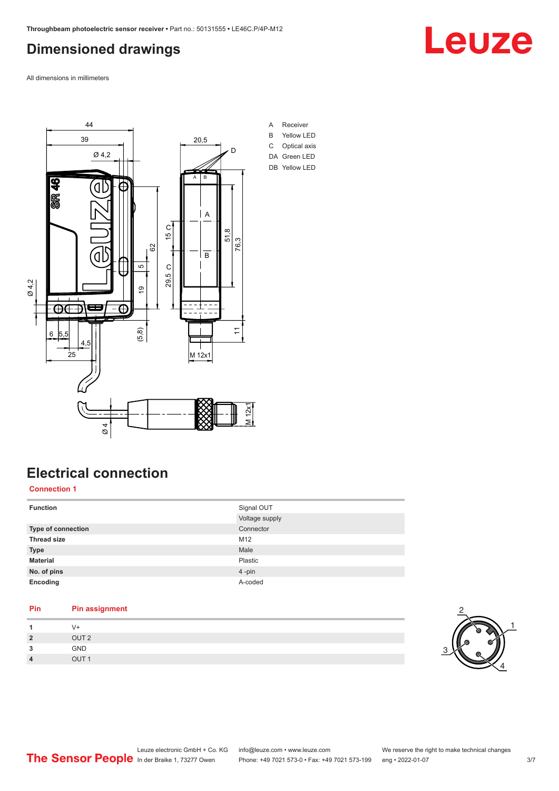#### <span id="page-2-0"></span>**Dimensioned drawings**

Leuze

All dimensions in millimeters



### **Electrical connection**

**Connection 1**

| <b>Function</b>           | Signal OUT<br>Voltage supply |
|---------------------------|------------------------------|
| <b>Type of connection</b> | Connector                    |
| <b>Thread size</b>        | M12                          |
| <b>Type</b>               | Male                         |
| <b>Material</b>           | Plastic                      |
| No. of pins               | 4-pin                        |
| Encoding                  | A-coded                      |

#### **Pin Pin assignment 1** V+

| GND<br>3<br>OUT <sub>1</sub><br>$\overline{4}$ | $\overline{2}$ | OUT <sub>2</sub> |  |
|------------------------------------------------|----------------|------------------|--|
|                                                |                |                  |  |
|                                                |                |                  |  |

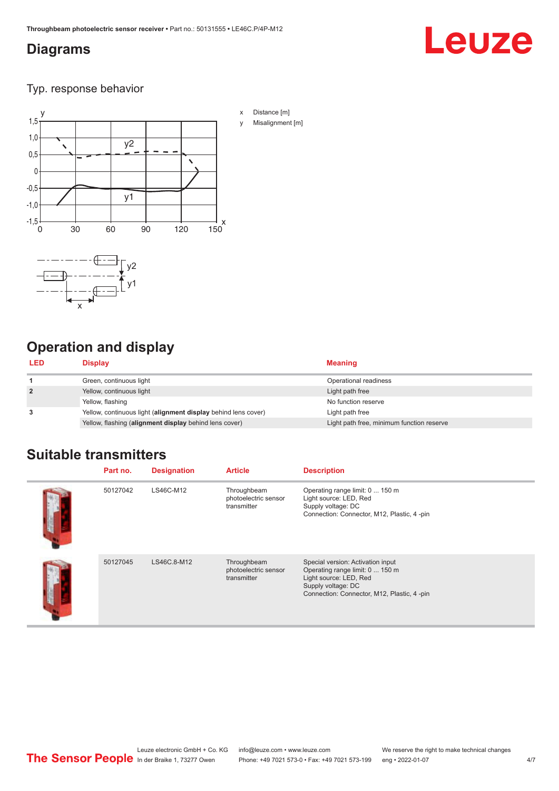#### <span id="page-3-0"></span>**Diagrams**

# **Leuze**

Typ. response behavior



#### **Operation and display**

| <b>LED</b>     | Display                                                        | <b>Meaning</b>                            |
|----------------|----------------------------------------------------------------|-------------------------------------------|
|                | Green, continuous light                                        | Operational readiness                     |
| $\overline{2}$ | Yellow, continuous light                                       | Light path free                           |
|                | Yellow, flashing                                               | No function reserve                       |
| 3              | Yellow, continuous light (alignment display behind lens cover) | Light path free                           |
|                | Yellow, flashing (alignment display behind lens cover)         | Light path free, minimum function reserve |

#### **Suitable transmitters**

| Part no. | <b>Designation</b> | <b>Article</b>                                     | <b>Description</b>                                                                                                                                                  |
|----------|--------------------|----------------------------------------------------|---------------------------------------------------------------------------------------------------------------------------------------------------------------------|
| 50127042 | LS46C-M12          | Throughbeam<br>photoelectric sensor<br>transmitter | Operating range limit: 0  150 m<br>Light source: LED, Red<br>Supply voltage: DC<br>Connection: Connector, M12, Plastic, 4-pin                                       |
| 50127045 | LS46C.8-M12        | Throughbeam<br>photoelectric sensor<br>transmitter | Special version: Activation input<br>Operating range limit: 0  150 m<br>Light source: LED, Red<br>Supply voltage: DC<br>Connection: Connector, M12, Plastic, 4 -pin |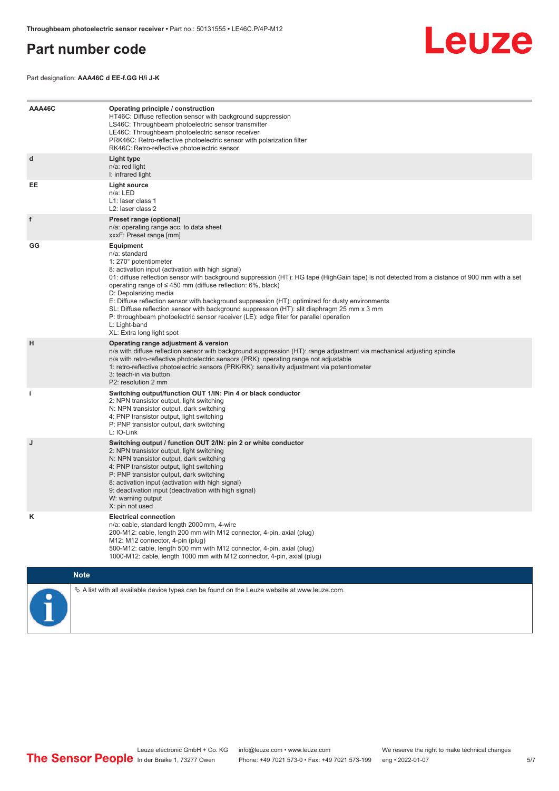#### <span id="page-4-0"></span>**Part number code**



Part designation: **AAA46C d EE-f.GG H/i J-K**

| AAA46C | Operating principle / construction<br>HT46C: Diffuse reflection sensor with background suppression<br>LS46C: Throughbeam photoelectric sensor transmitter<br>LE46C: Throughbeam photoelectric sensor receiver<br>PRK46C: Retro-reflective photoelectric sensor with polarization filter<br>RK46C: Retro-reflective photoelectric sensor                                                                                                                                                                                                                                                                                                                                                        |
|--------|------------------------------------------------------------------------------------------------------------------------------------------------------------------------------------------------------------------------------------------------------------------------------------------------------------------------------------------------------------------------------------------------------------------------------------------------------------------------------------------------------------------------------------------------------------------------------------------------------------------------------------------------------------------------------------------------|
| d      | Light type<br>n/a: red light<br>I: infrared light                                                                                                                                                                                                                                                                                                                                                                                                                                                                                                                                                                                                                                              |
| EE     | <b>Light source</b><br>n/a: LED<br>L1: laser class 1<br>L <sub>2</sub> : laser class 2                                                                                                                                                                                                                                                                                                                                                                                                                                                                                                                                                                                                         |
| f      | Preset range (optional)<br>n/a: operating range acc. to data sheet<br>xxxF: Preset range [mm]                                                                                                                                                                                                                                                                                                                                                                                                                                                                                                                                                                                                  |
| GG     | Equipment<br>n/a: standard<br>1: 270° potentiometer<br>8: activation input (activation with high signal)<br>01: diffuse reflection sensor with background suppression (HT): HG tape (HighGain tape) is not detected from a distance of 900 mm with a set<br>operating range of $\leq$ 450 mm (diffuse reflection: 6%, black)<br>D: Depolarizing media<br>E: Diffuse reflection sensor with background suppression (HT): optimized for dusty environments<br>SL: Diffuse reflection sensor with background suppression (HT): slit diaphragm 25 mm x 3 mm<br>P: throughbeam photoelectric sensor receiver (LE): edge filter for parallel operation<br>L: Light-band<br>XL: Extra long light spot |
| H      | Operating range adjustment & version<br>n/a with diffuse reflection sensor with background suppression (HT): range adjustment via mechanical adjusting spindle<br>n/a with retro-reflective photoelectric sensors (PRK): operating range not adjustable<br>1: retro-reflective photoelectric sensors (PRK/RK): sensitivity adjustment via potentiometer<br>3: teach-in via button<br>P2: resolution 2 mm                                                                                                                                                                                                                                                                                       |
| j.     | Switching output/function OUT 1/IN: Pin 4 or black conductor<br>2: NPN transistor output, light switching<br>N: NPN transistor output, dark switching<br>4: PNP transistor output, light switching<br>P: PNP transistor output, dark switching<br>L: IO-Link                                                                                                                                                                                                                                                                                                                                                                                                                                   |
| J      | Switching output / function OUT 2/IN: pin 2 or white conductor<br>2: NPN transistor output, light switching<br>N: NPN transistor output, dark switching<br>4: PNP transistor output, light switching<br>P: PNP transistor output, dark switching<br>8: activation input (activation with high signal)<br>9: deactivation input (deactivation with high signal)<br>W: warning output<br>X: pin not used                                                                                                                                                                                                                                                                                         |
| Κ      | <b>Electrical connection</b><br>n/a: cable, standard length 2000 mm, 4-wire<br>200-M12: cable, length 200 mm with M12 connector, 4-pin, axial (plug)<br>M12: M12 connector, 4-pin (plug)<br>500-M12: cable, length 500 mm with M12 connector, 4-pin, axial (plug)<br>1000-M12: cable, length 1000 mm with M12 connector, 4-pin, axial (plug)                                                                                                                                                                                                                                                                                                                                                   |
|        | <b>Note</b>                                                                                                                                                                                                                                                                                                                                                                                                                                                                                                                                                                                                                                                                                    |
|        | $\&$ A list with all available device types can be found on the Leuze website at www.leuze.com.                                                                                                                                                                                                                                                                                                                                                                                                                                                                                                                                                                                                |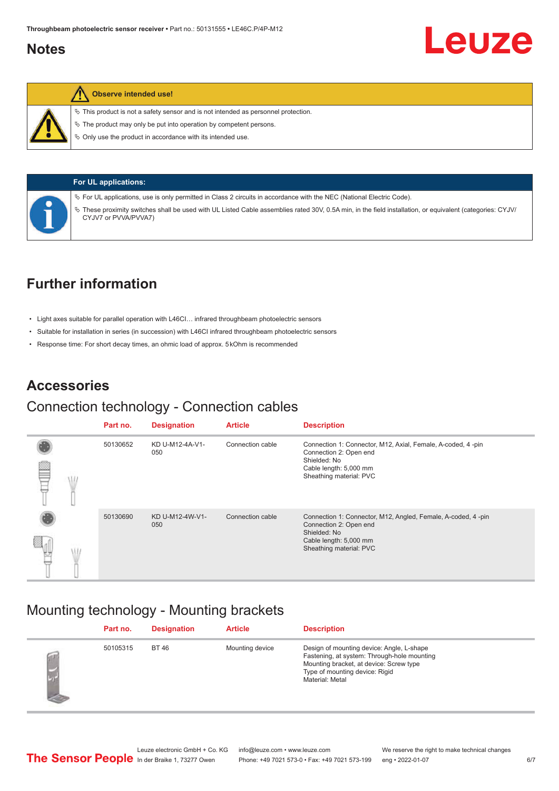#### <span id="page-5-0"></span>**Notes**



#### **Observe intended use!**

 $\%$  This product is not a safety sensor and is not intended as personnel protection.

 $\ddot{\phi}$  The product may only be put into operation by competent persons.

 $\%$  Only use the product in accordance with its intended use.



| UL applications: |  |
|------------------|--|
|------------------|--|

ª For UL applications, use is only permitted in Class 2 circuits in accordance with the NEC (National Electric Code).

ª These proximity switches shall be used with UL Listed Cable assemblies rated 30V, 0.5A min, in the field installation, or equivalent (categories: CYJV/ CYJV7 or PVVA/PVVA7)

#### **Further information**

- Light axes suitable for parallel operation with L46CI… infrared throughbeam photoelectric sensors
- Suitable for installation in series (in succession) with L46CI infrared throughbeam photoelectric sensors
- Response time: For short decay times, an ohmic load of approx. 5 kOhm is recommended

#### **Accessories**

#### Connection technology - Connection cables

|   | Part no. | <b>Designation</b>     | <b>Article</b>   | <b>Description</b>                                                                                                                                          |
|---|----------|------------------------|------------------|-------------------------------------------------------------------------------------------------------------------------------------------------------------|
|   | 50130652 | KD U-M12-4A-V1-<br>050 | Connection cable | Connection 1: Connector, M12, Axial, Female, A-coded, 4-pin<br>Connection 2: Open end                                                                       |
| ≃ |          |                        |                  | Shielded: No<br>Cable length: 5,000 mm<br>Sheathing material: PVC                                                                                           |
|   | 50130690 | KD U-M12-4W-V1-<br>050 | Connection cable | Connection 1: Connector, M12, Angled, Female, A-coded, 4-pin<br>Connection 2: Open end<br>Shielded: No<br>Cable length: 5,000 mm<br>Sheathing material: PVC |
|   |          |                        |                  |                                                                                                                                                             |

#### Mounting technology - Mounting brackets

|   | Part no. | <b>Designation</b> | <b>Article</b>  | <b>Description</b>                                                                                                                                                                       |
|---|----------|--------------------|-----------------|------------------------------------------------------------------------------------------------------------------------------------------------------------------------------------------|
| Ø | 50105315 | <b>BT 46</b>       | Mounting device | Design of mounting device: Angle, L-shape<br>Fastening, at system: Through-hole mounting<br>Mounting bracket, at device: Screw type<br>Type of mounting device: Rigid<br>Material: Metal |

Leuze